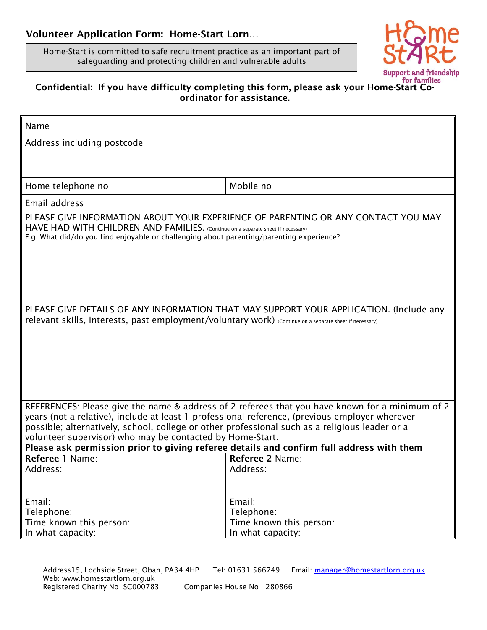## Volunteer Application Form: Home-Start Lorn…

Home-Start is committed to safe recruitment practice as an important part of safeguarding and protecting children and vulnerable adults



## Confidential: If you have difficulty completing this form, please ask your Home-Start Coordinator for assistance.

| Name                                                                                                                                                                                                                                                                                                                                                                                                                                                         |                         |  |                                                                      |  |  |  |
|--------------------------------------------------------------------------------------------------------------------------------------------------------------------------------------------------------------------------------------------------------------------------------------------------------------------------------------------------------------------------------------------------------------------------------------------------------------|-------------------------|--|----------------------------------------------------------------------|--|--|--|
| Address including postcode                                                                                                                                                                                                                                                                                                                                                                                                                                   |                         |  |                                                                      |  |  |  |
|                                                                                                                                                                                                                                                                                                                                                                                                                                                              |                         |  |                                                                      |  |  |  |
|                                                                                                                                                                                                                                                                                                                                                                                                                                                              |                         |  |                                                                      |  |  |  |
| Home telephone no                                                                                                                                                                                                                                                                                                                                                                                                                                            |                         |  | Mobile no                                                            |  |  |  |
| Email address                                                                                                                                                                                                                                                                                                                                                                                                                                                |                         |  |                                                                      |  |  |  |
| PLEASE GIVE INFORMATION ABOUT YOUR EXPERIENCE OF PARENTING OR ANY CONTACT YOU MAY<br>HAVE HAD WITH CHILDREN AND FAMILIES. (Continue on a separate sheet if necessary)<br>E.g. What did/do you find enjoyable or challenging about parenting/parenting experience?                                                                                                                                                                                            |                         |  |                                                                      |  |  |  |
| PLEASE GIVE DETAILS OF ANY INFORMATION THAT MAY SUPPORT YOUR APPLICATION. (Include any<br>relevant skills, interests, past employment/voluntary work) (Continue on a separate sheet if necessary)                                                                                                                                                                                                                                                            |                         |  |                                                                      |  |  |  |
|                                                                                                                                                                                                                                                                                                                                                                                                                                                              |                         |  |                                                                      |  |  |  |
| REFERENCES: Please give the name & address of 2 referees that you have known for a minimum of 2<br>years (not a relative), include at least 1 professional reference, (previous employer wherever<br>possible; alternatively, school, college or other professional such as a religious leader or a<br>volunteer supervisor) who may be contacted by Home-Start.<br>Please ask permission prior to giving referee details and confirm full address with them |                         |  |                                                                      |  |  |  |
| Referee 1 Name:<br>Address:                                                                                                                                                                                                                                                                                                                                                                                                                                  |                         |  | Referee 2 Name:<br>Address:                                          |  |  |  |
| Email:<br>Telephone:<br>In what capacity:                                                                                                                                                                                                                                                                                                                                                                                                                    | Time known this person: |  | Email:<br>Telephone:<br>Time known this person:<br>In what capacity: |  |  |  |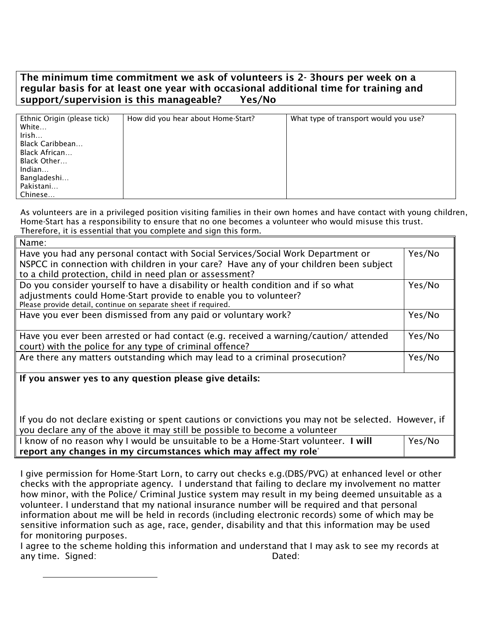## The minimum time commitment we ask of volunteers is 2- 3hours per week on a regular basis for at least one year with occasional additional time for training and support/supervision is this manageable? Yes/No

| Ethnic Origin (please tick) | How did you hear about Home-Start? | What type of transport would you use? |
|-----------------------------|------------------------------------|---------------------------------------|
| White                       |                                    |                                       |
| Irish                       |                                    |                                       |
| Black Caribbean             |                                    |                                       |
| Black African               |                                    |                                       |
| Black Other                 |                                    |                                       |
| Indian                      |                                    |                                       |
| Bangladeshi                 |                                    |                                       |
| Pakistani                   |                                    |                                       |
| Chinese                     |                                    |                                       |

As volunteers are in a privileged position visiting families in their own homes and have contact with young children, Home-Start has a responsibility to ensure that no one becomes a volunteer who would misuse this trust. Therefore, it is essential that you complete and sign this form.

| Name:                                                                                                                                                                      |        |  |  |
|----------------------------------------------------------------------------------------------------------------------------------------------------------------------------|--------|--|--|
| Have you had any personal contact with Social Services/Social Work Department or<br>NSPCC in connection with children in your care? Have any of your children been subject |        |  |  |
| to a child protection, child in need plan or assessment?                                                                                                                   |        |  |  |
| Do you consider yourself to have a disability or health condition and if so what                                                                                           | Yes/No |  |  |
| adjustments could Home-Start provide to enable you to volunteer?                                                                                                           |        |  |  |
| Please provide detail, continue on separate sheet if required.                                                                                                             |        |  |  |
| Have you ever been dismissed from any paid or voluntary work?                                                                                                              | Yes/No |  |  |
| Have you ever been arrested or had contact (e.g. received a warning/caution/attended<br>court) with the police for any type of criminal offence?                           | Yes/No |  |  |
| Are there any matters outstanding which may lead to a criminal prosecution?                                                                                                | Yes/No |  |  |
| If you answer yes to any question please give details:                                                                                                                     |        |  |  |

If you do not declare existing or spent cautions or convictions you may not be selected. However, if you declare any of the above it may still be possible to become a volunteer

| I know of no reason why I would be unsuitable to be a Home-Start volunteer. I will | Yes/No |  |  |  |
|------------------------------------------------------------------------------------|--------|--|--|--|
| report any changes in my circumstances which may affect my role <sup>*</sup>       |        |  |  |  |

I give permission for Home-Start Lorn, to carry out checks e.g.(DBS/PVG) at enhanced level or other checks with the appropriate agency. I understand that failing to declare my involvement no matter how minor, with the Police/ Criminal Justice system may result in my being deemed unsuitable as a volunteer. I understand that my national insurance number will be required and that personal information about me will be held in records (including electronic records) some of which may be sensitive information such as age, race, gender, disability and that this information may be used for monitoring purposes.

I agree to the scheme holding this information and understand that I may ask to see my records at any time. Signed: The Contract of the Dated: Dated: Dated:

 $\overline{a}$